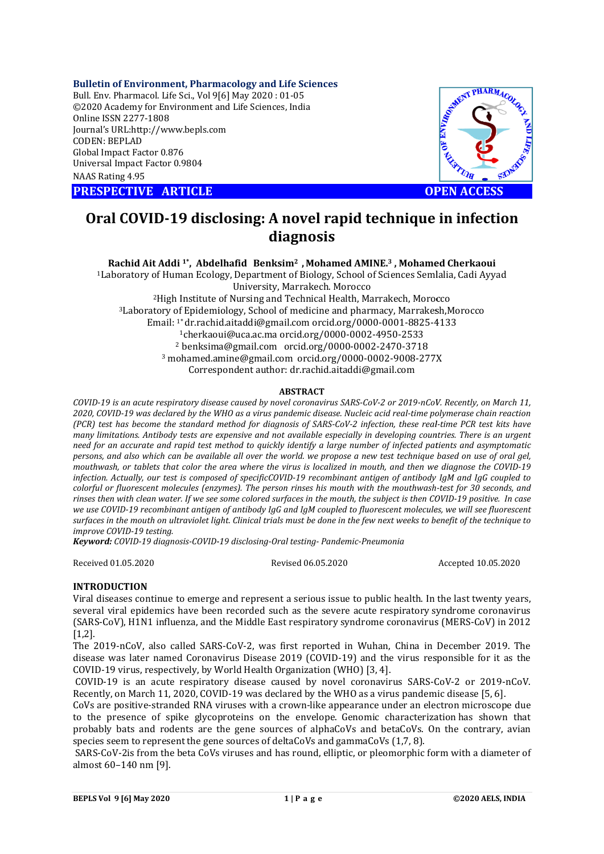## **Bulletin of Environment, Pharmacology and Life Sciences**

Bull. Env. Pharmacol. Life Sci., Vol 9[ [6] May 2020 : 01-05 ©2020 Academy for Environment and Life Sciences, India Online ISSN 2277-1808 Journal's URL:http://www.bepls.com CODEN: BEPLAD Global Impact Factor 0.876 Universal Impact Factor 0.9804 NAAS Rating 4.95

**PRESPECTIVE ARTICLE** 



# **Oral COVID-19 disclosing: A novel rapid technique in infection 19 diagnosis OPEN ACCESS**<br>rapid technique in infection

# **Rachid Ait Addi<sup>1</sup>\*, Abdelhafid Benksim<sup>2</sup>, Mohamed AMINE.<sup>3</sup>, Mohamed Cherkaoui**

1Laboratory of Human Ecology, Department of Biology, School of Sciences Semlalia, Cadi Ayyad Laboratory University, Marrakech. Morocco 2High Institute of Nursing and Technical Health, 3Laboratory of Epidemiology, School of medicine and pharmacy, Marrakesh,Morocco Laboratory of Epidemiology, School of medicine and pharmacy, Marrakesh, M<br>Email: <sup>1\*</sup> dr.rachid.aitaddi@gmail.com orcid.org/0000-0001-8825-4133 1cherkaoui@uca.ac.ma cherkaoui@uca.ac.ma orcid.org/0000-0002-4950-2533 2 benksima@gmail.com 3 mohamed.amine@gmail.com orcid.org/0000 orcid.org/0000-0002-9008-277X Correspondent author: dr.rachid.aitaddi@gmail.com <sup>2</sup>High Institute of Nursing and Technical Health, Marrakech, Morocco  $2$  benksima@gmail.com orcid.org/0000-0002-2470-3718 Laboratory of Human Ecology, Department of Biology, School of Sciences Semlalia,<br>University, Marrakech. Morocco<br><sup>2</sup>High Institute of Nursing and Technical Health, Marrakech, Morocco<br><sup>3</sup>Laboratory of Epidemiology, School of

#### **ABSTRACT**

COVID-19 is an acute respiratory disease caused by novel coronavirus SARS-CoV-2 or 2019-nCoV. Recently, on March 11, *2020, COVID-19 was declared by the WHO as a virus pandemic disease. Nucleic acid real 19 real-time polymerase chain reaction*  (PCR) test has become the standard method for diagnosis of SARS-CoV-2 infection, these real-time PCR test kits have *many limitations. Antibody tests are expensive and not available especially in developing countries. There is an urgent need for an accurate and rapid test method to quickly identify a large number of infected patients and asymptomatic persons, and also which can be available all over the world. we propose a new test technique based on use of oral gel, mouthwash, or tablets that color the area where the virus is localized in mouth, and then we diagnose the COVID infection. Actually, our test is composed of specificCO* infection. Actually, our test is composed of specificCOVID-19 recombinant antigen of antibody IgM and IgG coupled to<br>colorful or fluorescent molecules (enzymes). The person rinses his mouth with the mouthwash-test for 30 s rinses then with clean water. If we see some colored surfaces in the mouth, the subject is then COVID-19 positive. In case *we use COVID-19 recombinant antigen of antibody IgG and IgM coupled to fluorescent molecules, we will see fluorescent*  we use COVID-19 recombinant antigen of antibody IgG and IgM coupled to fluorescent molecules, we will see fluorescent<br>surfaces in the mouth on ultraviolet light. Clinical trials must be done in the few next weeks to benefi *improve COVID-19 testing. ons. Antibody tests are expensive and not available especially in developing countries. There is an urgent ccurate and rapid test method to quickly identify a large number of infected patients and asymptomatic also wh COVID-19 was declared by the WHO as a virus pandemic disease. Nucleic acid real-time polymerase chain reaction*<br>*I test has become the standard method for diagnosis of SARS-CoV-2 infection, these real-time PCR test kits h* 

*Keyword: COVID-19 diagnosis-COVID--19 disclosing-Oral testing- Pandemic-Pneumonia*

Received 01.05.2020

#### Revised 06.05.2020

Accepted 10.05.2020

## **INTRODUCTION**

Viral diseases continue to emerge and represent a serious issue to public health. In the last twenty years, several viral epidemics have been recorded such as the severe acute respiratory syndrome coronavirus (SARS-CoV), H1N1 influenza, and the Middle East respiratory syndrome coronavirus (MERS [1.2]. (SARS-CoV), H1N1 influenza, and the Middle East respiratory syndrome coronavirus (MERS-CoV) in 2012<br>[1,2].<br>The 2019-nCoV, also called SARS-CoV-2, was first reported in Wuhan, China in December 2019. The iseases continue to emerge and represent a serious issue to public health. In the last twenty years,<br>l viral epidemics have been recorded such as the severe acute respiratory syndrome coronavirus<br>CoV), H1N1 influenza, and

disease was later named Coronavirus Disease 2019 (COVID-19) and the virus responsible for it as the COVID-19 virus, respectively, by World Health Organization (WHO) [3, 4]. disease was later named Coronavirus Disease 2019 (COVID-19) and the virus responsible for it as the<br>COVID-19 virus, respectively, by World Health Organization (WHO) [3, 4].<br>COVID-19 is an acute respiratory disease caused b

Recently, on March 11, 2020, COVID-19 was declared by the WHO as a virus pandemic disease [5, 6].

CoVs are positive-stranded RNA viruses with a crown-like appearance under an electron microscope due to the presence of spike glycoproteins on the envelope. Genomic characterization has shown that probably bats and rodents are the gene sources of alphaCoVs and betaCoVs. On the contrary, avian species seem to represent the gene sources of deltaCoVs and gammaCoVs (1,7, 8). probably bats and rodents are the gene sources of alphaCoVs and betaCoVs. On the contrary, avian<br>species seem to represent the gene sources of deltaCoVs and gammaCoVs (1,7, 8).<br>SARS-CoV-2is from the beta CoVs viruses and h

almost 60–140 nm [9].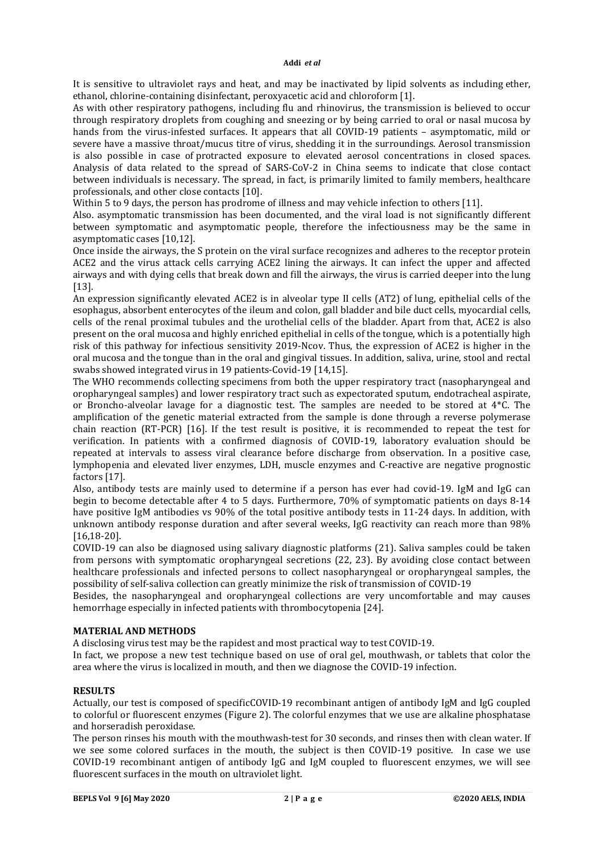It is sensitive to ultraviolet rays and heat, and may be inactivated by lipid solvents as including ether, ethanol, chlorine-containing disinfectant, peroxyacetic acid and chloroform [1].

As with other respiratory pathogens, including flu and rhinovirus, the transmission is believed to occur through respiratory droplets from coughing and sneezing or by being carried to oral or nasal mucosa by hands from the virus-infested surfaces. It appears that all COVID-19 patients – asymptomatic, mild or severe have a massive throat/mucus titre of virus, shedding it in the surroundings. Aerosol transmission is also possible in case of protracted exposure to elevated aerosol concentrations in closed spaces. Analysis of data related to the spread of SARS-CoV-2 in China seems to indicate that close contact between individuals is necessary. The spread, in fact, is primarily limited to family members, healthcare professionals, and other close contacts [10].

Within 5 to 9 days, the person has prodrome of illness and may vehicle infection to others [11].

Also. asymptomatic transmission has been documented, and the viral load is not significantly different between symptomatic and asymptomatic people, therefore the infectiousness may be the same in asymptomatic cases [10,12].

Once inside the airways, the S protein on the viral surface recognizes and adheres to the receptor protein ACE2 and the virus attack cells carrying ACE2 lining the airways. It can infect the upper and affected airways and with dying cells that break down and fill the airways, the virus is carried deeper into the lung [13].

An expression significantly elevated ACE2 is in alveolar type II cells (AT2) of lung, epithelial cells of the esophagus, absorbent enterocytes of the ileum and colon, gall bladder and bile duct cells, myocardial cells, cells of the renal proximal tubules and the urothelial cells of the bladder. Apart from that, ACE2 is also present on the oral mucosa and highly enriched epithelial in cells of the tongue, which is a potentially high risk of this pathway for infectious sensitivity 2019-Ncov. Thus, the expression of ACE2 is higher in the oral mucosa and the tongue than in the oral and gingival tissues. In addition, saliva, urine, stool and rectal swabs showed integrated virus in 19 patients-Covid-19 [14,15].

The WHO recommends collecting specimens from both the upper respiratory tract (nasopharyngeal and oropharyngeal samples) and lower respiratory tract such as expectorated sputum, endotracheal aspirate, or Broncho-alveolar lavage for a diagnostic test. The samples are needed to be stored at 4\*C. The amplification of the genetic material extracted from the sample is done through a reverse polymerase chain reaction (RT-PCR) [16]. If the test result is positive, it is recommended to repeat the test for verification. In patients with a confirmed diagnosis of COVID-19, laboratory evaluation should be repeated at intervals to assess viral clearance before discharge from observation. In a positive case, lymphopenia and elevated liver enzymes, LDH, muscle enzymes and C-reactive are negative prognostic factors [17].

Also, antibody tests are mainly used to determine if a person has ever had covid-19. IgM and IgG can begin to become detectable after 4 to 5 days. Furthermore, 70% of symptomatic patients on days 8-14 have positive IgM antibodies vs 90% of the total positive antibody tests in 11-24 days. In addition, with unknown antibody response duration and after several weeks, IgG reactivity can reach more than 98% [16,18-20].

COVID-19 can also be diagnosed using salivary diagnostic platforms (21). Saliva samples could be taken from persons with symptomatic oropharyngeal secretions (22, 23). By avoiding close contact between healthcare professionals and infected persons to collect nasopharyngeal or oropharyngeal samples, the possibility of self-saliva collection can greatly minimize the risk of transmission of COVID-19

Besides, the nasopharyngeal and oropharyngeal collections are very uncomfortable and may causes hemorrhage especially in infected patients with thrombocytopenia [24].

## **MATERIAL AND METHODS**

A disclosing virus test may be the rapidest and most practical way to test COVID-19.

In fact, we propose a new test technique based on use of oral gel, mouthwash, or tablets that color the area where the virus is localized in mouth, and then we diagnose the COVID-19 infection.

## **RESULTS**

Actually, our test is composed of specificCOVID-19 recombinant antigen of antibody IgM and IgG coupled to colorful or fluorescent enzymes (Figure 2). The colorful enzymes that we use are alkaline phosphatase and horseradish peroxidase.

The person rinses his mouth with the mouthwash-test for 30 seconds, and rinses then with clean water. If we see some colored surfaces in the mouth, the subject is then COVID-19 positive. In case we use COVID-19 recombinant antigen of antibody IgG and IgM coupled to fluorescent enzymes, we will see fluorescent surfaces in the mouth on ultraviolet light.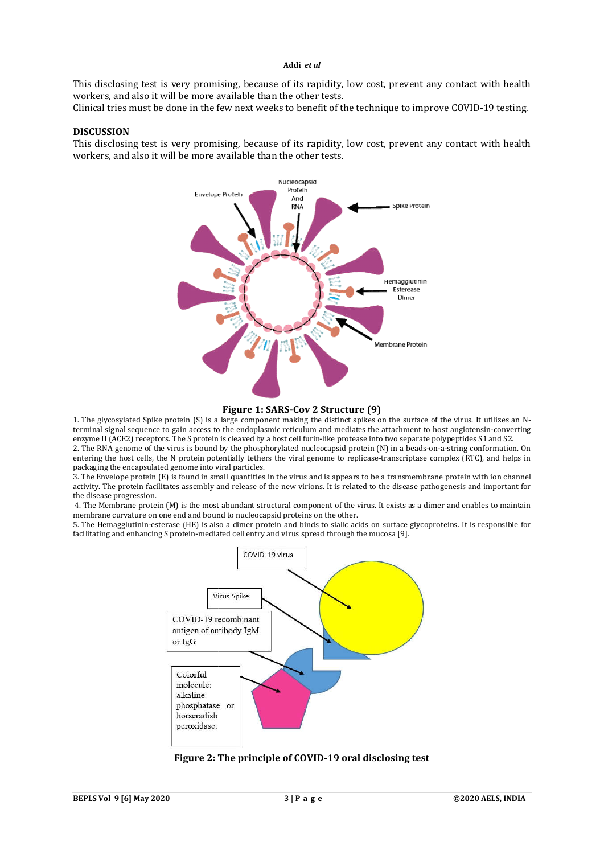#### **Addi** *et al*

This disclosing test is very promising, because of its rapidity, low cost, prevent any contact with health workers, and also it will be more available than the other tests. This disclosing test is very promising, because of its rapidity, low cost, prevent any contact with health<br>workers, and also it will be more available than the other tests.<br>Clinical tries must be done in the few next weeks

## **DISCUSSION**

This disclosing test is very promising, because of its rapidity, low cost, prevent any contact with health workers, and also it will be more available than the other tests.



#### **Figure 1: SARS-Cov 2 Structure (9)**

1. The glycosylated Spike protein (S) is a large component making the distinct spikes on the surface of the virus. It utilize terminal signal sequence to gain access to the endoplasmic reticulum and mediates the attachment to host angiotensin-converting enzyme II (ACE2) receptors. The S protein is cleaved by a host cell furin-like protease into two separate polypeptides S1 and S2. enzyme II (ACE2) receptors. The S protein is cleaved by a host cell furin-like protease into two separate polypeptides S1 and S2.<br>2. The RNA genome of the virus is bound by the phosphorylated nucleocapsid protein (N) in a

entering the host cells, the N protein potentially tethers the viral genome to replicase-transcriptase complex (RTC), and helps in packaging the encapsulated genome into viral particles. the viral genome to replicase-transcriptase complex (RTC), and helps in s.<br>s.<br>es in the virus and is appears to be a transmembrane protein with ion channel<br>of the new virions. It is related to the disease pathogenesis and

3. The Envelope protein (E) is found in small quantities in the virus and is appears to be a transmembrane protein with ion channel activity. The protein facilitates assembly and release of the new virions. It is related to the disease pathogenesis and important for the disease progression.

4. The Membrane protein (M) is the most abundant structural component of the virus. It exists as a dimer and enables to maintain membrane curvature on one end and bound to nucleocapsid proteins on the other. 4. The Membrane protein (M) is the most abundant structural component of the virus. It exists as a dimer and enables to maintain membrane curvature on one end and bound to nucleocapsid proteins on the other.<br>5. The Hemaggl

facilitating and enhancing S protein-mediated cell entry and virus spread through the mucosa [9].



Figure 2: The principle of COVID-19 oral disclosing test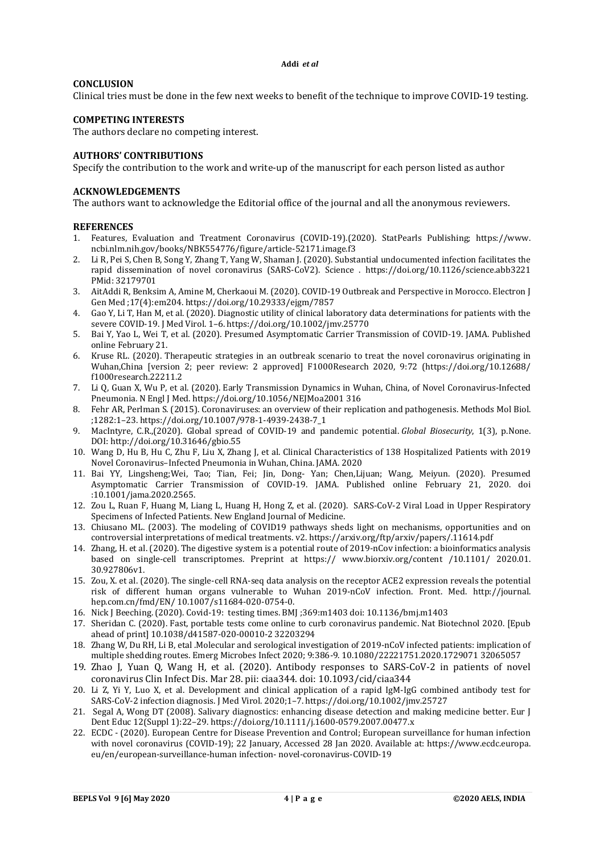**Addi** *et al*

## **CONCLUSION**

Clinical tries must be done in the few next weeks to benefit of the technique to improve COVID-19 testing.

## **COMPETING INTERESTS**

The authors declare no competing interest.

## **AUTHORS' CONTRIBUTIONS**

Specify the contribution to the work and write-up of the manuscript for each person listed as author

#### **ACKNOWLEDGEMENTS**

The authors want to acknowledge the Editorial office of the journal and all the anonymous reviewers.

#### **REFERENCES**

- 1. Features, Evaluation and Treatment Coronavirus (COVID-19).(2020). StatPearls Publishing; https://www. ncbi.nlm.nih.gov/books/NBK554776/figure/article-52171.image.f3
- 2. Li R, Pei S, Chen B, Song Y, Zhang T, Yang W, Shaman J. (2020). Substantial undocumented infection facilitates the rapid dissemination of novel coronavirus (SARS-CoV2). Science . https://doi.org/10.1126/science.abb3221 PMid: 32179701
- 3. AitAddi R, Benksim A, Amine M, Cherkaoui M. (2020). COVID-19 Outbreak and Perspective in Morocco. Electron J Gen Med ;17(4):em204. https://doi.org/10.29333/ejgm/7857
- 4. Gao Y, Li T, Han M, et al. (2020). Diagnostic utility of clinical laboratory data determinations for patients with the severe COVID-19. J Med Virol. 1–6. https://doi.org/10.1002/jmv.25770
- 5. Bai Y, Yao L, Wei T, et al. (2020). Presumed Asymptomatic Carrier Transmission of COVID-19. JAMA. Published online February 21.
- 6. Kruse RL. (2020). Therapeutic strategies in an outbreak scenario to treat the novel coronavirus originating in Wuhan,China [version 2; peer review: 2 approved] F1000Research 2020, 9:72 (https://doi.org/10.12688/ f1000research.22211.2
- 7. Li Q, Guan X, Wu P, et al. (2020). Early Transmission Dynamics in Wuhan, China, of Novel Coronavirus-Infected Pneumonia. N Engl J Med. https://doi.org/10.1056/NEJMoa2001 316
- 8. Fehr AR, Perlman S. (2015). Coronaviruses: an overview of their replication and pathogenesis. Methods Mol Biol. ;1282:1–23. https://doi.org/10.1007/978-1-4939-2438-7\_1
- 9. MacIntyre, C.R.,(2020). Global spread of COVID-19 and pandemic potential. *Global Biosecurity*, 1(3), p.None. DOI: http://doi.org/10.31646/gbio.55
- 10. Wang D, Hu B, Hu C, Zhu F, Liu X, Zhang J, et al. Clinical Characteristics of 138 Hospitalized Patients with 2019 Novel Coronavirus–Infected Pneumonia in Wuhan, China. JAMA. 2020
- 11. Bai YY, Lingsheng;Wei, Tao; Tian, Fei; Jin, Dong- Yan; Chen,Lijuan; Wang, Meiyun. (2020). Presumed Asymptomatic Carrier Transmission of COVID-19. JAMA. Published online February 21, 2020. doi :10.1001/jama.2020.2565.
- 12. Zou L, Ruan F, Huang M, Liang L, Huang H, Hong Z, et al. (2020). SARS-CoV-2 Viral Load in Upper Respiratory Specimens of Infected Patients. New England Journal of Medicine.
- 13. Chiusano ML. (2003). The modeling of COVID19 pathways sheds light on mechanisms, opportunities and on controversial interpretations of medical treatments. v2. https://arxiv.org/ftp/arxiv/papers/.11614.pdf
- 14. Zhang, H. et al. (2020). The digestive system is a potential route of 2019-nCov infection: a bioinformatics analysis based on single-cell transcriptomes. Preprint at https:// www.biorxiv.org/content /10.1101/ 2020.01. 30.927806v1.
- 15. Zou, X. et al. (2020). The single-cell RNA-seq data analysis on the receptor ACE2 expression reveals the potential risk of different human organs vulnerable to Wuhan 2019-nCoV infection. Front. Med. http://journal. hep.com.cn/fmd/EN/ 10.1007/s11684-020-0754-0.
- 16. Nick J Beeching. (2020). Covid-19: testing times. BMJ ;369:m1403 doi: 10.1136/bmj.m1403
- 17. Sheridan C. (2020). Fast, portable tests come online to curb coronavirus pandemic. Nat Biotechnol 2020. [Epub ahead of print] 10.1038/d41587-020-00010-2 32203294
- 18. Zhang W, Du RH, Li B, etal .Molecular and serological investigation of 2019-nCoV infected patients: implication of multiple shedding routes. Emerg Microbes Infect 2020; 9:386-9. 10.1080/22221751.2020.1729071 32065057
- 19. Zhao J, Yuan Q, Wang H, et al. (2020). Antibody responses to SARS-CoV-2 in patients of novel coronavirus Clin Infect Dis. Mar 28. pii: ciaa344. doi: 10.1093/cid/ciaa344
- 20. Li Z, Yi Y, Luo X, et al. Development and clinical application of a rapid IgM-IgG combined antibody test for SARS-CoV-2 infection diagnosis. J Med Virol. 2020;1–7. https://doi.org/10.1002/jmv.25727
- 21. Segal A, Wong DT (2008). Salivary diagnostics: enhancing disease detection and making medicine better. Eur J Dent Educ 12(Suppl 1):22–29. https://doi.org/10.1111/j.1600-0579.2007.00477.x
- 22. ECDC (2020). European Centre for Disease Prevention and Control; European surveillance for human infection with novel coronavirus (COVID-19); 22 January, Accessed 28 Jan 2020. Available at: https://www.ecdc.europa. eu/en/european-surveillance-human infection- novel-coronavirus-COVID-19